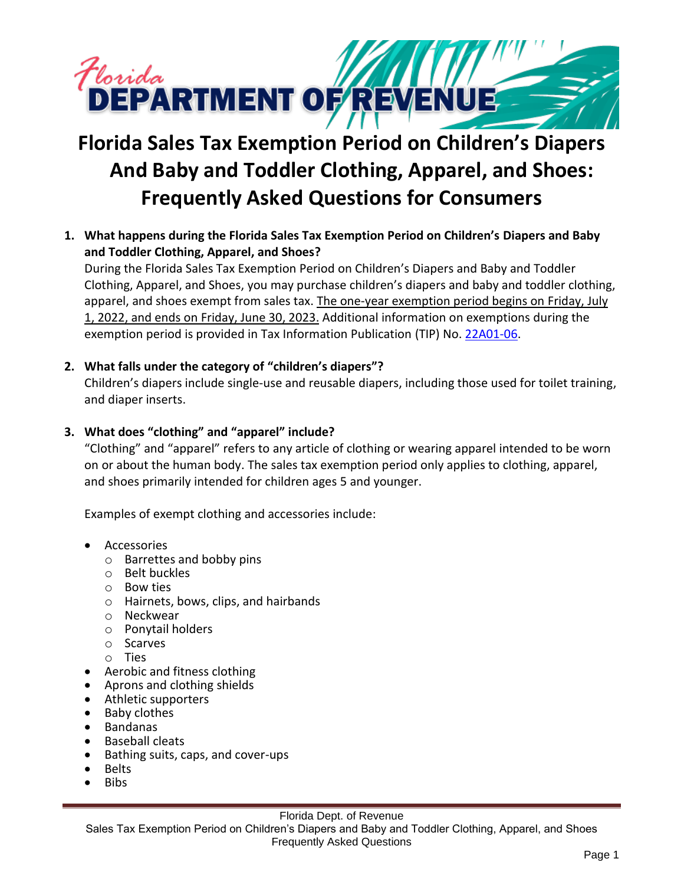

# **Florida Sales Tax Exemption Period on Children's Diapers And Baby and Toddler Clothing, Apparel, and Shoes: Frequently Asked Questions for Consumers**

**1. What happens during the Florida Sales Tax Exemption Period on Children's Diapers and Baby and Toddler Clothing, Apparel, and Shoes?**

During the Florida Sales Tax Exemption Period on Children's Diapers and Baby and Toddler Clothing, Apparel, and Shoes, you may purchase children's diapers and baby and toddler clothing, apparel, and shoes exempt from sales tax. The one-year exemption period begins on Friday, July 1, 2022, and ends on Friday, June 30, 2023. Additional information on exemptions during the exemption period is provided in Tax Information Publication (TIP) No. [22A01-06.](https://floridarevenue.com/taxes/tips/Documents/TIP_22A01-06.pdf)

### **2. What falls under the category of "children's diapers"?**

Children's diapers include single-use and reusable diapers, including those used for toilet training, and diaper inserts.

# **3. What does "clothing" and "apparel" include?**

"Clothing" and "apparel" refers to any article of clothing or wearing apparel intended to be worn on or about the human body. The sales tax exemption period only applies to clothing, apparel, and shoes primarily intended for children ages 5 and younger.

Examples of exempt clothing and accessories include:

- Accessories
	- o Barrettes and bobby pins
	- o Belt buckles
	- o Bow ties
	- o Hairnets, bows, clips, and hairbands
	- o Neckwear
	- o Ponytail holders
	- o Scarves
	- o Ties
- Aerobic and fitness clothing
- Aprons and clothing shields
- Athletic supporters
- Baby clothes
- Bandanas
- Baseball cleats
- Bathing suits, caps, and cover-ups
- Belts
- Bibs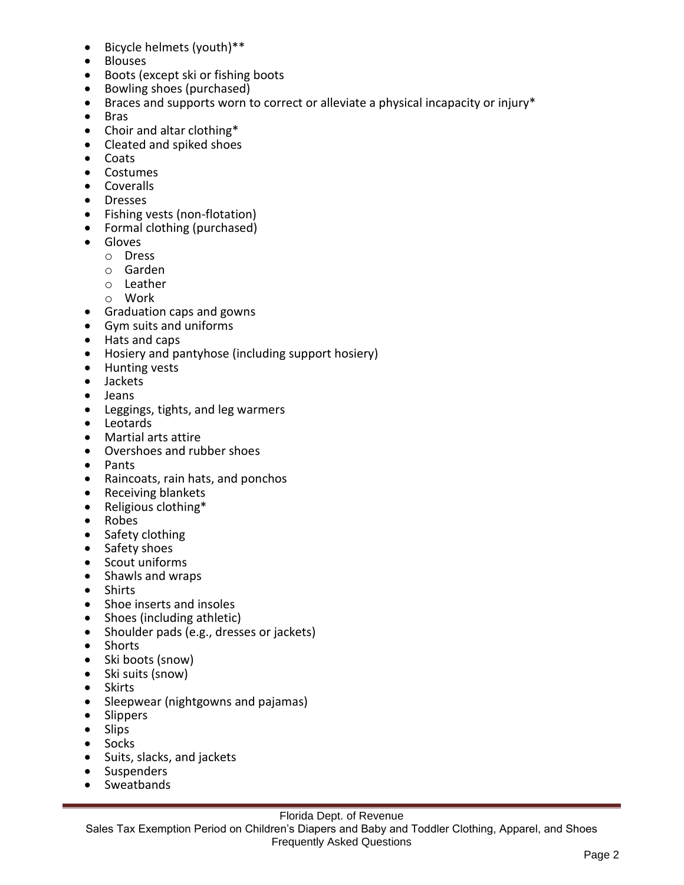- Bicycle helmets (youth)\*\*
- Blouses
- Boots (except ski or fishing boots
- Bowling shoes (purchased)
- Braces and supports worn to correct or alleviate a physical incapacity or injury\*
- Bras
- Choir and altar clothing\*
- Cleated and spiked shoes
- Coats
- Costumes
- Coveralls
- Dresses
- Fishing vests (non-flotation)
- Formal clothing (purchased)
- Gloves
	- o Dress
	- o Garden
	- o Leather
	- o Work
- Graduation caps and gowns
- Gym suits and uniforms
- Hats and caps
- Hosiery and pantyhose (including support hosiery)
- Hunting vests
- Jackets
- Jeans
- Leggings, tights, and leg warmers
- Leotards
- Martial arts attire
- Overshoes and rubber shoes
- Pants
- Raincoats, rain hats, and ponchos
- Receiving blankets
- Religious clothing\*
- Robes
- Safety clothing
- Safety shoes
- Scout uniforms
- Shawls and wraps
- Shirts
- Shoe inserts and insoles
- Shoes (including athletic)
- Shoulder pads (e.g., dresses or jackets)
- Shorts
- Ski boots (snow)
- Ski suits (snow)
- Skirts
- Sleepwear (nightgowns and pajamas)
- Slippers
- Slips
- Socks
- Suits, slacks, and jackets
- Suspenders
- Sweatbands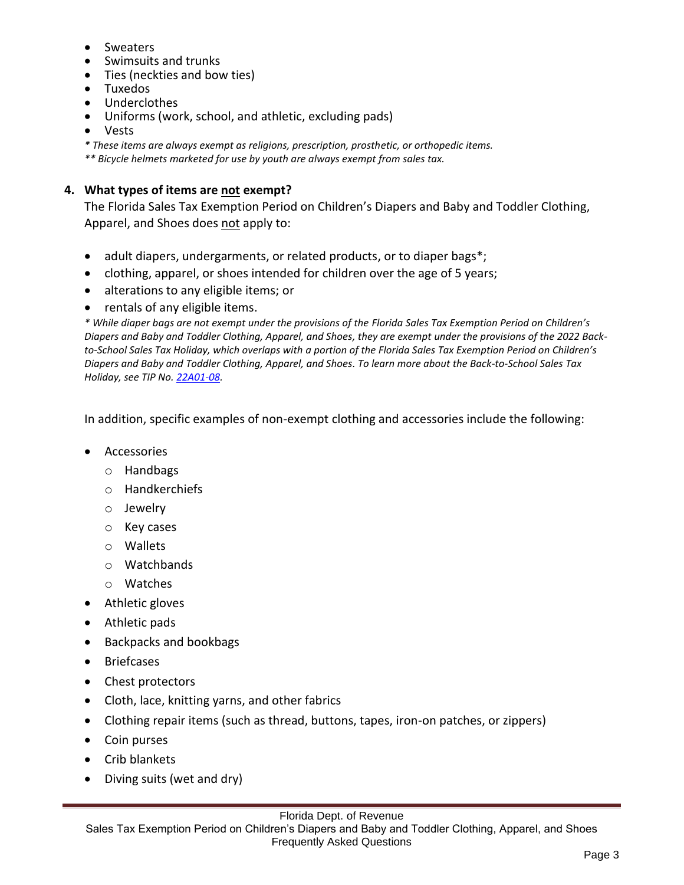- Sweaters
- Swimsuits and trunks
- Ties (neckties and bow ties)
- Tuxedos
- Underclothes
- Uniforms (work, school, and athletic, excluding pads)
- Vests

*\* These items are always exempt as religions, prescription, prosthetic, or orthopedic items.*

*\*\* Bicycle helmets marketed for use by youth are always exempt from sales tax.*

# **4. What types of items are not exempt?**

The Florida Sales Tax Exemption Period on Children's Diapers and Baby and Toddler Clothing, Apparel, and Shoes does not apply to:

- adult diapers, undergarments, or related products, or to diaper bags\*;
- clothing, apparel, or shoes intended for children over the age of 5 years;
- alterations to any eligible items; or
- rentals of any eligible items.

*\* While diaper bags are not exempt under the provisions of the Florida Sales Tax Exemption Period on Children's Diapers and Baby and Toddler Clothing, Apparel, and Shoes, they are exempt under the provisions of the 2022 Backto-School Sales Tax Holiday, which overlaps with a portion of the Florida Sales Tax Exemption Period on Children's Diapers and Baby and Toddler Clothing, Apparel, and Shoes. To learn more about the Back-to-School Sales Tax Holiday, see TIP No. [22A01-08.](https://floridarevenue.com/taxes/tips/Documents/TIP_22A01-08.pdf)*

In addition, specific examples of non-exempt clothing and accessories include the following:

- Accessories
	- o Handbags
	- o Handkerchiefs
	- o Jewelry
	- o Key cases
	- o Wallets
	- o Watchbands
	- o Watches
- Athletic gloves
- Athletic pads
- Backpacks and bookbags
- Briefcases
- Chest protectors
- Cloth, lace, knitting yarns, and other fabrics
- Clothing repair items (such as thread, buttons, tapes, iron-on patches, or zippers)
- Coin purses
- Crib blankets
- Diving suits (wet and dry)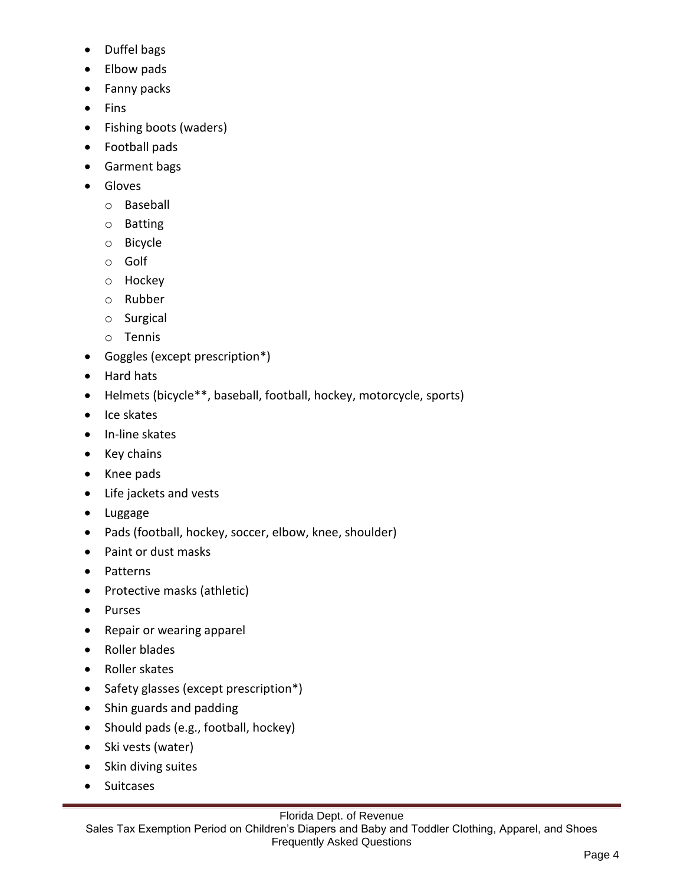- Duffel bags
- Elbow pads
- Fanny packs
- Fins
- Fishing boots (waders)
- Football pads
- Garment bags
- Gloves
	- o Baseball
	- o Batting
	- o Bicycle
	- o Golf
	- o Hockey
	- o Rubber
	- o Surgical
	- o Tennis
- Goggles (except prescription\*)
- Hard hats
- Helmets (bicycle\*\*, baseball, football, hockey, motorcycle, sports)
- Ice skates
- In-line skates
- Key chains
- Knee pads
- Life jackets and vests
- Luggage
- Pads (football, hockey, soccer, elbow, knee, shoulder)
- Paint or dust masks
- Patterns
- Protective masks (athletic)
- Purses
- Repair or wearing apparel
- Roller blades
- Roller skates
- Safety glasses (except prescription\*)
- Shin guards and padding
- Should pads (e.g., football, hockey)
- Ski vests (water)
- Skin diving suites
- Suitcases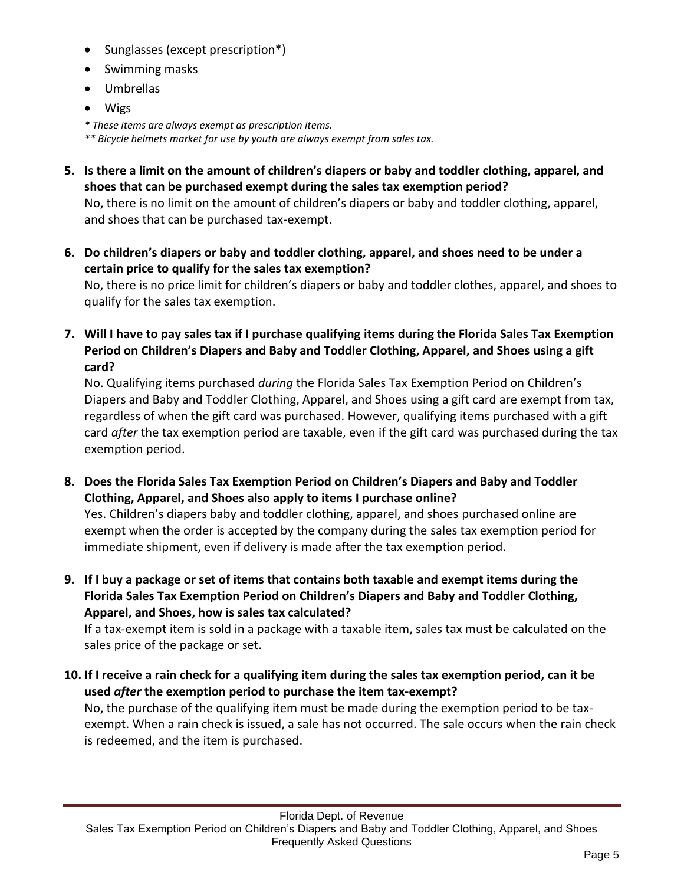- Sunglasses (except prescription\*)
- Swimming masks
- Umbrellas
- Wigs

*\* These items are always exempt as prescription items. \*\* Bicycle helmets market for use by youth are always exempt from sales tax.*

- **5. Is there a limit on the amount of children's diapers or baby and toddler clothing, apparel, and shoes that can be purchased exempt during the sales tax exemption period?** No, there is no limit on the amount of children's diapers or baby and toddler clothing, apparel, and shoes that can be purchased tax-exempt.
- **6. Do children's diapers or baby and toddler clothing, apparel, and shoes need to be under a certain price to qualify for the sales tax exemption?** No, there is no price limit for children's diapers or baby and toddler clothes, apparel, and shoes to qualify for the sales tax exemption.

**7. Will I have to pay sales tax if I purchase qualifying items during the Florida Sales Tax Exemption Period on Children's Diapers and Baby and Toddler Clothing, Apparel, and Shoes using a gift card?**

No. Qualifying items purchased *during* the Florida Sales Tax Exemption Period on Children's Diapers and Baby and Toddler Clothing, Apparel, and Shoes using a gift card are exempt from tax, regardless of when the gift card was purchased. However, qualifying items purchased with a gift card *after* the tax exemption period are taxable, even if the gift card was purchased during the tax exemption period.

**8. Does the Florida Sales Tax Exemption Period on Children's Diapers and Baby and Toddler Clothing, Apparel, and Shoes also apply to items I purchase online?**

Yes. Children's diapers baby and toddler clothing, apparel, and shoes purchased online are exempt when the order is accepted by the company during the sales tax exemption period for immediate shipment, even if delivery is made after the tax exemption period.

**9. If I buy a package or set of items that contains both taxable and exempt items during the Florida Sales Tax Exemption Period on Children's Diapers and Baby and Toddler Clothing, Apparel, and Shoes, how is sales tax calculated?**

If a tax-exempt item is sold in a package with a taxable item, sales tax must be calculated on the sales price of the package or set.

**10. If I receive a rain check for a qualifying item during the sales tax exemption period, can it be used** *after* **the exemption period to purchase the item tax-exempt?**

No, the purchase of the qualifying item must be made during the exemption period to be taxexempt. When a rain check is issued, a sale has not occurred. The sale occurs when the rain check is redeemed, and the item is purchased.